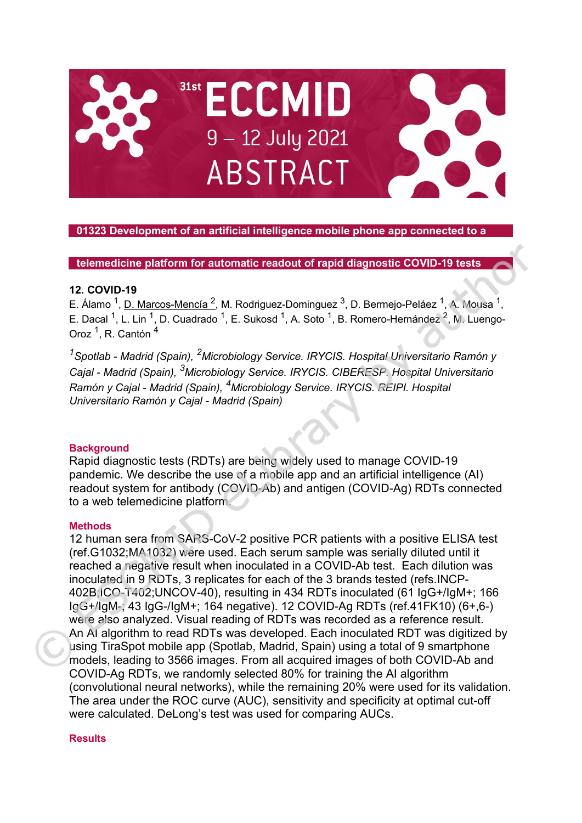

# **01323 Development of an artificial intelligence mobile phone app connected to a**

**telemedicine platform for automatic readout of rapid diagnostic COVID-19 tests**

## **12. COVID-19**

E. Álamo <sup>1</sup>, D. Marcos-Mencía <sup>2</sup>, M. Rodriguez-Dominguez <sup>3</sup>, D. Bermejo-Peláez <sup>1</sup>, A. Mousa <sup>1</sup>, E. Dacal <sup>1</sup>, L. Lin<sup>1</sup>, D. Cuadrado <sup>1</sup>, E. Sukosd <sup>1</sup>, A. Soto <sup>1</sup>, B. Romero-Hernández <sup>2</sup>, M. Luengo-Oroz<sup>1</sup>, R. Cantón<sup>4</sup>

*1 Spotlab - Madrid (Spain), 2Microbiology Service. IRYCIS. Hospital Universitario Ramón y Cajal - Madrid (Spain), 3 Microbiology Service. IRYCIS. CIBERESP. Hospital Universitario Ramón y Cajal - Madrid (Spain), 4Microbiology Service. IRYCIS. REIPI. Hospital Universitario Ramón y Cajal - Madrid (Spain)*

## **Background**

Rapid diagnostic tests (RDTs) are being widely used to manage COVID-19 pandemic. We describe the use of a mobile app and an artificial intelligence (AI) readout system for antibody (COVID-Ab) and antigen (COVID-Ag) RDTs connected to a web telemedicine platform.

#### **Methods**

12 human sera from SARS-CoV-2 positive PCR patients with a positive ELISA test (ref.G1032;MA1032) were used. Each serum sample was serially diluted until it reached a negative result when inoculated in a COVID-Ab test. Each dilution was inoculated in 9 RDTs, 3 replicates for each of the 3 brands tested (refs.INCP-402B;ICO-T402;UNCOV-40), resulting in 434 RDTs inoculated (61 IgG+/IgM+; 166 IgG+/IgM-; 43 IgG-/IgM+; 164 negative). 12 COVID-Ag RDTs (ref.41FK10) (6+,6-) were also analyzed. Visual reading of RDTs was recorded as a reference result. An AI algorithm to read RDTs was developed. Each inoculated RDT was digitized by using TiraSpot mobile app (Spotlab, Madrid, Spain) using a total of 9 smartphone models, leading to 3566 images. From all acquired images of both COVID-Ab and COVID-Ag RDTs, we randomly selected 80% for training the AI algorithm (convolutional neural networks), while the remaining 20% were used for its validation. The area under the ROC curve (AUC), sensitivity and specificity at optimal cut-off were calculated. DeLong's test was used for comparing AUCs.

### **Results**